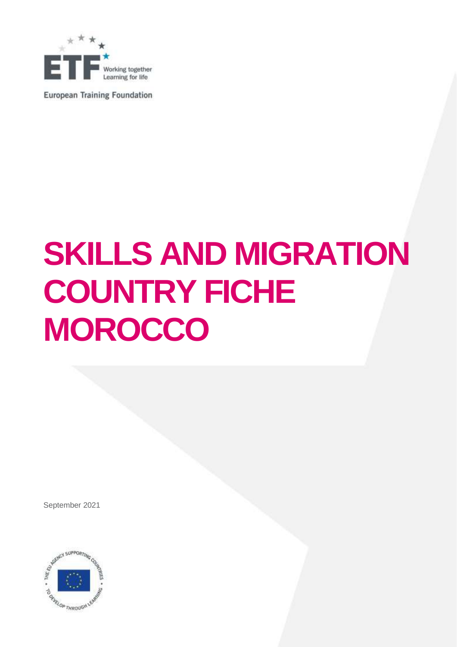

**European Training Foundation** 

# **SKILLS AND MIGRATION COUNTRY FICHE MOROCCO**

September 2021

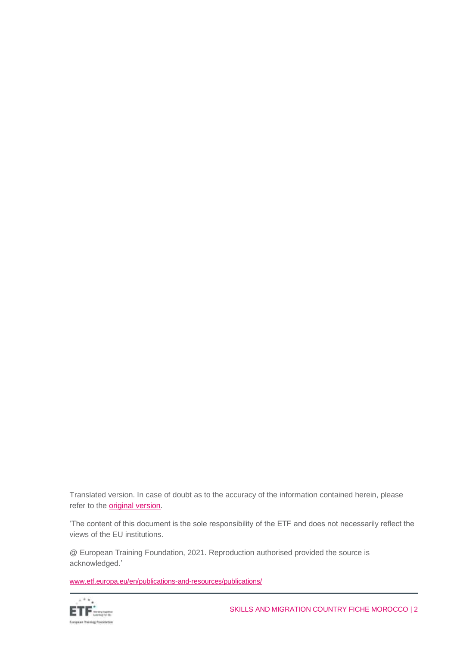Translated version. In case of doubt as to the accuracy of the information contained herein, please refer to the **original version**.

'The content of this document is the sole responsibility of the ETF and does not necessarily reflect the views of the EU institutions.

@ European Training Foundation, 2021. Reproduction authorised provided the source is acknowledged.'

[www.etf.europa.eu/en/publications-and-resources/publications/](http://www.etf.europa.eu/en/publications-and-resources/publications/)

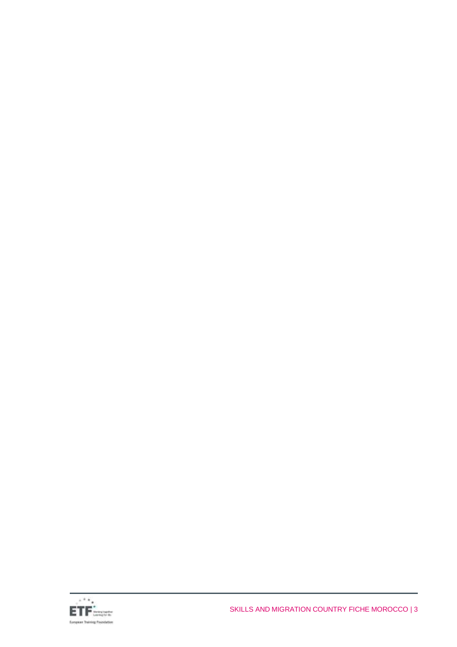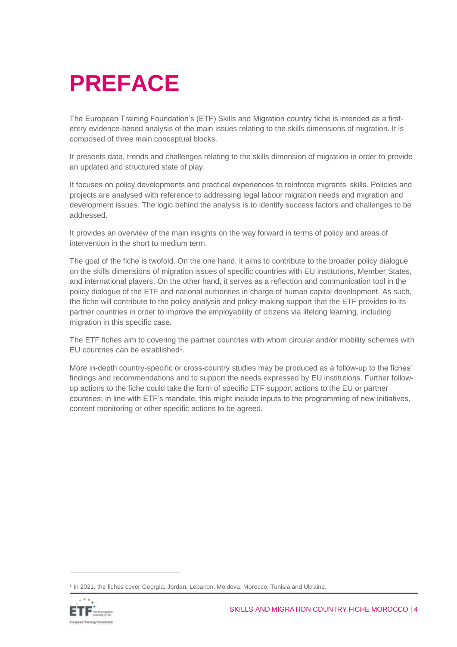# **PREFACE**

The European Training Foundation's (ETF) Skills and Migration country fiche is intended as a firstentry evidence-based analysis of the main issues relating to the skills dimensions of migration. It is composed of three main conceptual blocks.

It presents data, trends and challenges relating to the skills dimension of migration in order to provide an updated and structured state of play.

It focuses on policy developments and practical experiences to reinforce migrants' skills. Policies and projects are analysed with reference to addressing legal labour migration needs and migration and development issues. The logic behind the analysis is to identify success factors and challenges to be addressed.

It provides an overview of the main insights on the way forward in terms of policy and areas of intervention in the short to medium term.

The goal of the fiche is twofold. On the one hand, it aims to contribute to the broader policy dialogue on the skills dimensions of migration issues of specific countries with EU institutions, Member States, and international players. On the other hand, it serves as a reflection and communication tool in the policy dialogue of the ETF and national authorities in charge of human capital development. As such, the fiche will contribute to the policy analysis and policy-making support that the ETF provides to its partner countries in order to improve the employability of citizens via lifelong learning, including migration in this specific case.

The ETF fiches aim to covering the partner countries with whom circular and/or mobility schemes with EU countries can be established<sup>1</sup>.

More in-depth country-specific or cross-country studies may be produced as a follow-up to the fiches' findings and recommendations and to support the needs expressed by EU institutions. Further followup actions to the fiche could take the form of specific ETF support actions to the EU or partner countries; in line with ETF's mandate, this might include inputs to the programming of new initiatives, content monitoring or other specific actions to be agreed.

<sup>1</sup> In 2021, the fiches cover Georgia, Jordan, Lebanon, Moldova, Morocco, Tunisia and Ukraine.

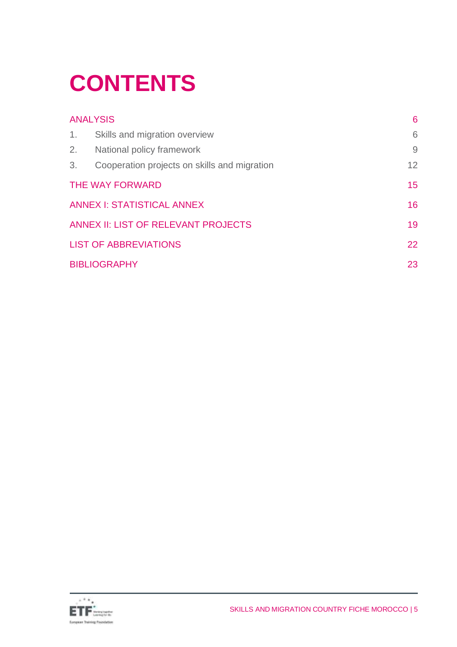# **CONTENTS**

| <b>ANALYSIS</b>                   | 6                                            |    |  |  |
|-----------------------------------|----------------------------------------------|----|--|--|
| 1.                                | Skills and migration overview                | 6  |  |  |
| 2.                                | National policy framework                    | 9  |  |  |
| 3.                                | Cooperation projects on skills and migration | 12 |  |  |
| THE WAY FORWARD                   |                                              |    |  |  |
| <b>ANNEX I: STATISTICAL ANNEX</b> |                                              |    |  |  |
|                                   | ANNEX II: LIST OF RELEVANT PROJECTS          |    |  |  |
|                                   | <b>LIST OF ABBREVIATIONS</b>                 |    |  |  |
| <b>BIBLIOGRAPHY</b>               |                                              |    |  |  |

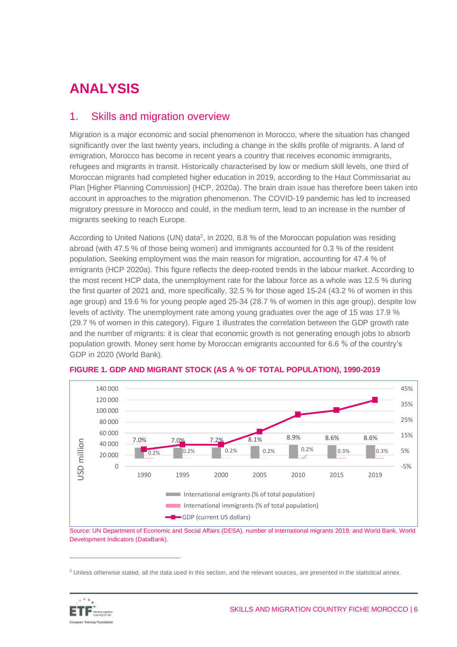# <span id="page-5-0"></span>**ANALYSIS**

### <span id="page-5-1"></span>1. Skills and migration overview

Migration is a major economic and social phenomenon in Morocco, where the situation has changed significantly over the last twenty years, including a change in the skills profile of migrants. A land of emigration, Morocco has become in recent years a country that receives economic immigrants, refugees and migrants in transit. Historically characterised by low or medium skill levels, one third of Moroccan migrants had completed higher education in 2019, according to the Haut Commissariat au Plan [Higher Planning Commission] (HCP, 2020a). The brain drain issue has therefore been taken into account in approaches to the migration phenomenon. The COVID-19 pandemic has led to increased migratory pressure in Morocco and could, in the medium term, lead to an increase in the number of migrants seeking to reach Europe.

According to United Nations (UN) data<sup>2</sup>, in 2020, 8.8 % of the Moroccan population was residing abroad (with 47.5 % of those being women) and immigrants accounted for 0.3 % of the resident population. Seeking employment was the main reason for migration, accounting for 47.4 % of emigrants (HCP 2020a). This figure reflects the deep-rooted trends in the labour market. According to the most recent HCP data, the unemployment rate for the labour force as a whole was 12.5 % during the first quarter of 2021 and, more specifically, 32.5 % for those aged 15-24 (43.2 % of women in this age group) and 19.6 % for young people aged 25-34 (28.7 % of women in this age group), despite low levels of activity. The unemployment rate among young graduates over the age of 15 was 17.9 % (29.7 % of women in this category). Figure 1 illustrates the correlation between the GDP growth rate and the number of migrants: it is clear that economic growth is not generating enough jobs to absorb population growth. Money sent home by Moroccan emigrants accounted for 6.6 % of the country's GDP in 2020 (World Bank).



#### **FIGURE 1. GDP AND MIGRANT STOCK (AS A % OF TOTAL POPULATION), 1990-2019**

Source: UN Department of Economic and Social Affairs (DESA), number of international migrants 2019; and World Bank, World Development Indicators (DataBank).

<sup>2</sup> Unless otherwise stated, all the data used in this section, and the relevant sources, are presented in the statistical annex.

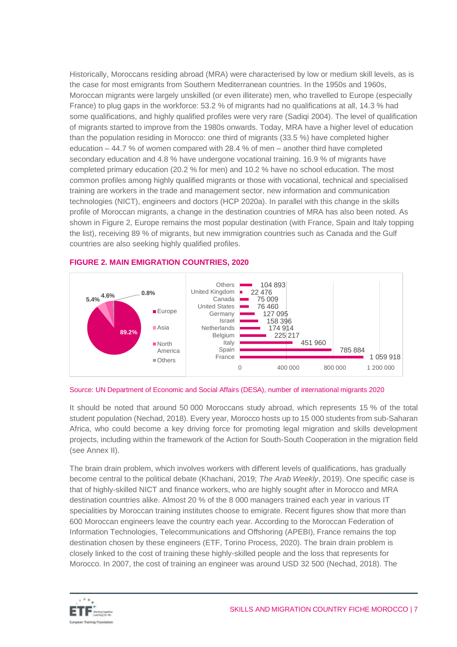Historically, Moroccans residing abroad (MRA) were characterised by low or medium skill levels, as is the case for most emigrants from Southern Mediterranean countries. In the 1950s and 1960s, Moroccan migrants were largely unskilled (or even illiterate) men, who travelled to Europe (especially France) to plug gaps in the workforce: 53.2 % of migrants had no qualifications at all, 14.3 % had some qualifications, and highly qualified profiles were very rare (Sadiqi 2004). The level of qualification of migrants started to improve from the 1980s onwards. Today, MRA have a higher level of education than the population residing in Morocco: one third of migrants (33.5 %) have completed higher education – 44.7 % of women compared with 28.4 % of men – another third have completed secondary education and 4.8 % have undergone vocational training. 16.9 % of migrants have completed primary education (20.2 % for men) and 10.2 % have no school education. The most common profiles among highly qualified migrants or those with vocational, technical and specialised training are workers in the trade and management sector, new information and communication technologies (NICT), engineers and doctors (HCP 2020a). In parallel with this change in the skills profile of Moroccan migrants, a change in the destination countries of MRA has also been noted. As shown in Figure 2, Europe remains the most popular destination (with France, Spain and Italy topping the list), receiving 89 % of migrants, but new immigration countries such as Canada and the Gulf countries are also seeking highly qualified profiles.

### **FIGURE 2. MAIN EMIGRATION COUNTRIES, 2020**



Source: UN Department of Economic and Social Affairs (DESA), number of international migrants 2020

It should be noted that around 50 000 Moroccans study abroad, which represents 15 % of the total student population (Nechad, 2018). Every year, Morocco hosts up to 15 000 students from sub-Saharan Africa, who could become a key driving force for promoting legal migration and skills development projects, including within the framework of the Action for South-South Cooperation in the migration field (see Annex II).

The brain drain problem, which involves workers with different levels of qualifications, has gradually become central to the political debate (Khachani, 2019; *The Arab Weekly*, 2019). One specific case is that of highly-skilled NICT and finance workers, who are highly sought after in Morocco and MRA destination countries alike. Almost 20 % of the 8 000 managers trained each year in various IT specialities by Moroccan training institutes choose to emigrate. Recent figures show that more than 600 Moroccan engineers leave the country each year. According to the Moroccan Federation of Information Technologies, Telecommunications and Offshoring (APEBI), France remains the top destination chosen by these engineers (ETF, Torino Process, 2020). The brain drain problem is closely linked to the cost of training these highly-skilled people and the loss that represents for Morocco. In 2007, the cost of training an engineer was around USD 32 500 (Nechad, 2018). The

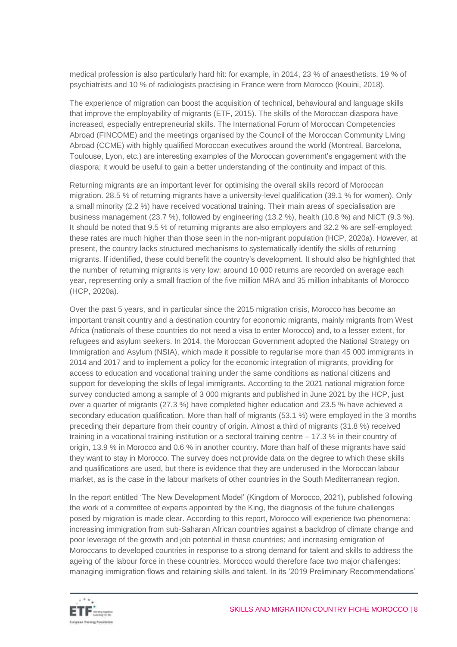medical profession is also particularly hard hit: for example, in 2014, 23 % of anaesthetists, 19 % of psychiatrists and 10 % of radiologists practising in France were from Morocco (Kouini, 2018).

The experience of migration can boost the acquisition of technical, behavioural and language skills that improve the employability of migrants (ETF, 2015). The skills of the Moroccan diaspora have increased, especially entrepreneurial skills. The International Forum of Moroccan Competencies Abroad (FINCOME) and the meetings organised by the Council of the Moroccan Community Living Abroad (CCME) with highly qualified Moroccan executives around the world (Montreal, Barcelona, Toulouse, Lyon, etc.) are interesting examples of the Moroccan government's engagement with the diaspora; it would be useful to gain a better understanding of the continuity and impact of this.

Returning migrants are an important lever for optimising the overall skills record of Moroccan migration. 28.5 % of returning migrants have a university-level qualification (39.1 % for women). Only a small minority (2.2 %) have received vocational training. Their main areas of specialisation are business management (23.7 %), followed by engineering (13.2 %), health (10.8 %) and NICT (9.3 %). It should be noted that 9.5 % of returning migrants are also employers and 32.2 % are self-employed; these rates are much higher than those seen in the non-migrant population (HCP, 2020a). However, at present, the country lacks structured mechanisms to systematically identify the skills of returning migrants. If identified, these could benefit the country's development. It should also be highlighted that the number of returning migrants is very low: around 10 000 returns are recorded on average each year, representing only a small fraction of the five million MRA and 35 million inhabitants of Morocco (HCP, 2020a).

Over the past 5 years, and in particular since the 2015 migration crisis, Morocco has become an important transit country and a destination country for economic migrants, mainly migrants from West Africa (nationals of these countries do not need a visa to enter Morocco) and, to a lesser extent, for refugees and asylum seekers. In 2014, the Moroccan Government adopted the National Strategy on Immigration and Asylum (NSIA), which made it possible to regularise more than 45 000 immigrants in 2014 and 2017 and to implement a policy for the economic integration of migrants, providing for access to education and vocational training under the same conditions as national citizens and support for developing the skills of legal immigrants. According to the 2021 national migration force survey conducted among a sample of 3 000 migrants and published in June 2021 by the HCP, just over a quarter of migrants (27.3 %) have completed higher education and 23.5 % have achieved a secondary education qualification. More than half of migrants (53.1 %) were employed in the 3 months preceding their departure from their country of origin. Almost a third of migrants (31.8 %) received training in a vocational training institution or a sectoral training centre – 17.3 % in their country of origin, 13.9 % in Morocco and 0.6 % in another country. More than half of these migrants have said they want to stay in Morocco. The survey does not provide data on the degree to which these skills and qualifications are used, but there is evidence that they are underused in the Moroccan labour market, as is the case in the labour markets of other countries in the South Mediterranean region.

In the report entitled 'The New Development Model' (Kingdom of Morocco, 2021), published following the work of a committee of experts appointed by the King, the diagnosis of the future challenges posed by migration is made clear. According to this report, Morocco will experience two phenomena: increasing immigration from sub-Saharan African countries against a backdrop of climate change and poor leverage of the growth and job potential in these countries; and increasing emigration of Moroccans to developed countries in response to a strong demand for talent and skills to address the ageing of the labour force in these countries. Morocco would therefore face two major challenges: managing immigration flows and retaining skills and talent. In its '2019 Preliminary Recommendations'

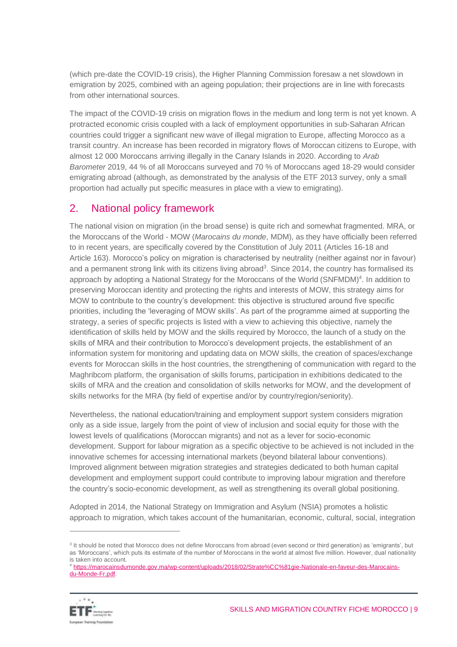(which pre-date the COVID-19 crisis), the Higher Planning Commission foresaw a net slowdown in emigration by 2025, combined with an ageing population; their projections are in line with forecasts from other international sources.

The impact of the COVID-19 crisis on migration flows in the medium and long term is not yet known. A protracted economic crisis coupled with a lack of employment opportunities in sub-Saharan African countries could trigger a significant new wave of illegal migration to Europe, affecting Morocco as a transit country. An increase has been recorded in migratory flows of Moroccan citizens to Europe, with almost 12 000 Moroccans arriving illegally in the Canary Islands in 2020. According to *Arab Barometer* 2019, 44 % of all Moroccans surveyed and 70 % of Moroccans aged 18-29 would consider emigrating abroad (although, as demonstrated by the analysis of the ETF 2013 survey, only a small proportion had actually put specific measures in place with a view to emigrating).

### <span id="page-8-0"></span>2. National policy framework

The national vision on migration (in the broad sense) is quite rich and somewhat fragmented. MRA, or the Moroccans of the World - MOW (*Marocains du monde*, MDM), as they have officially been referred to in recent years, are specifically covered by the Constitution of July 2011 (Articles 16-18 and Article 163). Morocco's policy on migration is characterised by neutrality (neither against nor in favour) and a permanent strong link with its citizens living abroad<sup>3</sup>. Since 2014, the country has formalised its approach by adopting a National Strategy for the Moroccans of the World (SNFMDM)<sup>4</sup>. In addition to preserving Moroccan identity and protecting the rights and interests of MOW, this strategy aims for MOW to contribute to the country's development: this objective is structured around five specific priorities, including the 'leveraging of MOW skills'. As part of the programme aimed at supporting the strategy, a series of specific projects is listed with a view to achieving this objective, namely the identification of skills held by MOW and the skills required by Morocco, the launch of a study on the skills of MRA and their contribution to Morocco's development projects, the establishment of an information system for monitoring and updating data on MOW skills, the creation of spaces/exchange events for Moroccan skills in the host countries, the strengthening of communication with regard to the Maghribcom platform, the organisation of skills forums, participation in exhibitions dedicated to the skills of MRA and the creation and consolidation of skills networks for MOW, and the development of skills networks for the MRA (by field of expertise and/or by country/region/seniority).

Nevertheless, the national education/training and employment support system considers migration only as a side issue, largely from the point of view of inclusion and social equity for those with the lowest levels of qualifications (Moroccan migrants) and not as a lever for socio-economic development. Support for labour migration as a specific objective to be achieved is not included in the innovative schemes for accessing international markets (beyond bilateral labour conventions). Improved alignment between migration strategies and strategies dedicated to both human capital development and employment support could contribute to improving labour migration and therefore the country's socio-economic development, as well as strengthening its overall global positioning.

Adopted in 2014, the National Strategy on Immigration and Asylum (NSIA) promotes a holistic approach to migration, which takes account of the humanitarian, economic, cultural, social, integration

<sup>4</sup> [https://marocainsdumonde.gov.ma/wp-content/uploads/2018/02/Strate%CC%81gie-Nationale-en-faveur-des-Marocains](https://marocainsdumonde.gov.ma/wp-content/uploads/2018/02/Strate%CC%81gie-Nationale-en-faveur-des-Marocains-du-Monde-Fr.pdf)[du-Monde-Fr.pdf.](https://marocainsdumonde.gov.ma/wp-content/uploads/2018/02/Strate%CC%81gie-Nationale-en-faveur-des-Marocains-du-Monde-Fr.pdf)



<sup>&</sup>lt;sup>3</sup> It should be noted that Morocco does not define Moroccans from abroad (even second or third generation) as 'emigrants', but as 'Moroccans', which puts its estimate of the number of Moroccans in the world at almost five million. However, dual nationality is taken into account.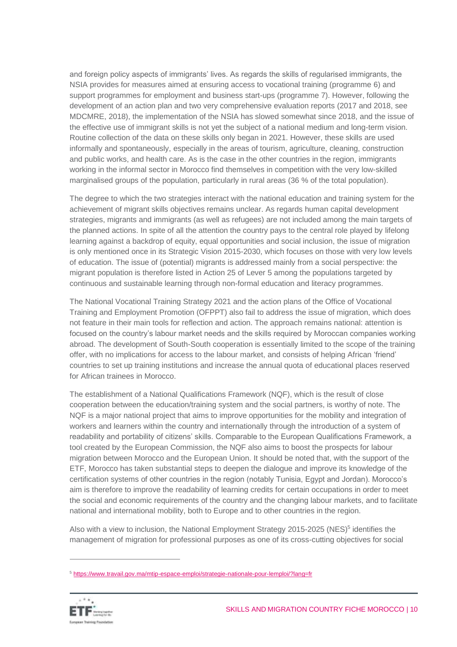and foreign policy aspects of immigrants' lives. As regards the skills of regularised immigrants, the NSIA provides for measures aimed at ensuring access to vocational training (programme 6) and support programmes for employment and business start-ups (programme 7). However, following the development of an action plan and two very comprehensive evaluation reports (2017 and 2018, see MDCMRE, 2018), the implementation of the NSIA has slowed somewhat since 2018, and the issue of the effective use of immigrant skills is not yet the subject of a national medium and long-term vision. Routine collection of the data on these skills only began in 2021. However, these skills are used informally and spontaneously, especially in the areas of tourism, agriculture, cleaning, construction and public works, and health care. As is the case in the other countries in the region, immigrants working in the informal sector in Morocco find themselves in competition with the very low-skilled marginalised groups of the population, particularly in rural areas (36 % of the total population).

The degree to which the two strategies interact with the national education and training system for the achievement of migrant skills objectives remains unclear. As regards human capital development strategies, migrants and immigrants (as well as refugees) are not included among the main targets of the planned actions. In spite of all the attention the country pays to the central role played by lifelong learning against a backdrop of equity, equal opportunities and social inclusion, the issue of migration is only mentioned once in its Strategic Vision 2015-2030, which focuses on those with very low levels of education. The issue of (potential) migrants is addressed mainly from a social perspective: the migrant population is therefore listed in Action 25 of Lever 5 among the populations targeted by continuous and sustainable learning through non-formal education and literacy programmes.

The National Vocational Training Strategy 2021 and the action plans of the Office of Vocational Training and Employment Promotion (OFPPT) also fail to address the issue of migration, which does not feature in their main tools for reflection and action. The approach remains national: attention is focused on the country's labour market needs and the skills required by Moroccan companies working abroad. The development of South-South cooperation is essentially limited to the scope of the training offer, with no implications for access to the labour market, and consists of helping African 'friend' countries to set up training institutions and increase the annual quota of educational places reserved for African trainees in Morocco.

The establishment of a National Qualifications Framework (NQF), which is the result of close cooperation between the education/training system and the social partners, is worthy of note. The NQF is a major national project that aims to improve opportunities for the mobility and integration of workers and learners within the country and internationally through the introduction of a system of readability and portability of citizens' skills. Comparable to the European Qualifications Framework, a tool created by the European Commission, the NQF also aims to boost the prospects for labour migration between Morocco and the European Union. It should be noted that, with the support of the ETF, Morocco has taken substantial steps to deepen the dialogue and improve its knowledge of the certification systems of other countries in the region (notably Tunisia, Egypt and Jordan). Morocco's aim is therefore to improve the readability of learning credits for certain occupations in order to meet the social and economic requirements of the country and the changing labour markets, and to facilitate national and international mobility, both to Europe and to other countries in the region.

Also with a view to inclusion, the National Employment Strategy 2015-2025 (NES)<sup>5</sup> identifies the management of migration for professional purposes as one of its cross-cutting objectives for social

<sup>5</sup> <https://www.travail.gov.ma/mtip-espace-emploi/strategie-nationale-pour-lemploi/?lang=fr>

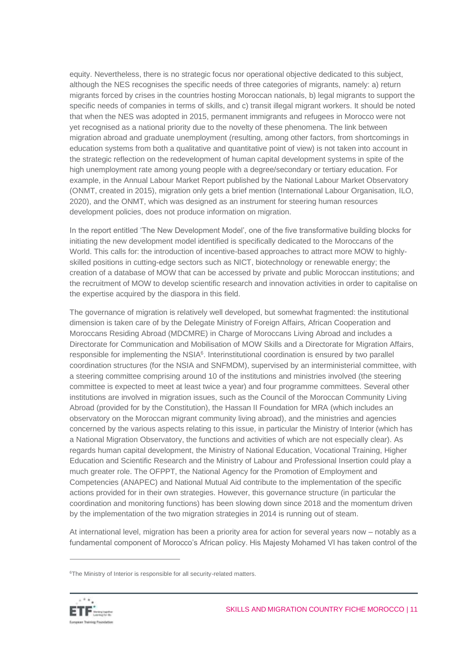equity. Nevertheless, there is no strategic focus nor operational objective dedicated to this subject, although the NES recognises the specific needs of three categories of migrants, namely: a) return migrants forced by crises in the countries hosting Moroccan nationals, b) legal migrants to support the specific needs of companies in terms of skills, and c) transit illegal migrant workers. It should be noted that when the NES was adopted in 2015, permanent immigrants and refugees in Morocco were not yet recognised as a national priority due to the novelty of these phenomena. The link between migration abroad and graduate unemployment (resulting, among other factors, from shortcomings in education systems from both a qualitative and quantitative point of view) is not taken into account in the strategic reflection on the redevelopment of human capital development systems in spite of the high unemployment rate among young people with a degree/secondary or tertiary education. For example, in the Annual Labour Market Report published by the National Labour Market Observatory (ONMT, created in 2015), migration only gets a brief mention (International Labour Organisation, ILO, 2020), and the ONMT, which was designed as an instrument for steering human resources development policies, does not produce information on migration.

In the report entitled 'The New Development Model', one of the five transformative building blocks for initiating the new development model identified is specifically dedicated to the Moroccans of the World. This calls for: the introduction of incentive-based approaches to attract more MOW to highlyskilled positions in cutting-edge sectors such as NICT, biotechnology or renewable energy; the creation of a database of MOW that can be accessed by private and public Moroccan institutions; and the recruitment of MOW to develop scientific research and innovation activities in order to capitalise on the expertise acquired by the diaspora in this field.

The governance of migration is relatively well developed, but somewhat fragmented: the institutional dimension is taken care of by the Delegate Ministry of Foreign Affairs, African Cooperation and Moroccans Residing Abroad (MDCMRE) in Charge of Moroccans Living Abroad and includes a Directorate for Communication and Mobilisation of MOW Skills and a Directorate for Migration Affairs, responsible for implementing the NSIA<sup>6</sup>. Interinstitutional coordination is ensured by two parallel coordination structures (for the NSIA and SNFMDM), supervised by an interministerial committee, with a steering committee comprising around 10 of the institutions and ministries involved (the steering committee is expected to meet at least twice a year) and four programme committees. Several other institutions are involved in migration issues, such as the Council of the Moroccan Community Living Abroad (provided for by the Constitution), the Hassan II Foundation for MRA (which includes an observatory on the Moroccan migrant community living abroad), and the ministries and agencies concerned by the various aspects relating to this issue, in particular the Ministry of Interior (which has a National Migration Observatory, the functions and activities of which are not especially clear). As regards human capital development, the Ministry of National Education, Vocational Training, Higher Education and Scientific Research and the Ministry of Labour and Professional Insertion could play a much greater role. The OFPPT, the National Agency for the Promotion of Employment and Competencies (ANAPEC) and National Mutual Aid contribute to the implementation of the specific actions provided for in their own strategies. However, this governance structure (in particular the coordination and monitoring functions) has been slowing down since 2018 and the momentum driven by the implementation of the two migration strategies in 2014 is running out of steam.

At international level, migration has been a priority area for action for several years now – notably as a fundamental component of Morocco's African policy. His Majesty Mohamed VI has taken control of the

<sup>&</sup>lt;sup>6</sup>The Ministry of Interior is responsible for all security-related matters.

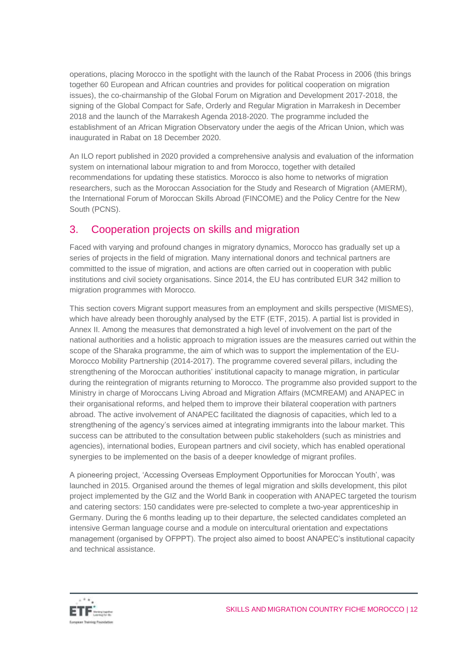operations, placing Morocco in the spotlight with the launch of the Rabat Process in 2006 (this brings together 60 European and African countries and provides for political cooperation on migration issues), the co-chairmanship of the Global Forum on Migration and Development 2017-2018, the signing of the Global Compact for Safe, Orderly and Regular Migration in Marrakesh in December 2018 and the launch of the Marrakesh Agenda 2018-2020. The programme included the establishment of an African Migration Observatory under the aegis of the African Union, which was inaugurated in Rabat on 18 December 2020.

An ILO report published in 2020 provided a comprehensive analysis and evaluation of the information system on international labour migration to and from Morocco, together with detailed recommendations for updating these statistics. Morocco is also home to networks of migration researchers, such as the Moroccan Association for the Study and Research of Migration (AMERM), the International Forum of Moroccan Skills Abroad (FINCOME) and the Policy Centre for the New South (PCNS).

### <span id="page-11-0"></span>3. Cooperation projects on skills and migration

Faced with varying and profound changes in migratory dynamics, Morocco has gradually set up a series of projects in the field of migration. Many international donors and technical partners are committed to the issue of migration, and actions are often carried out in cooperation with public institutions and civil society organisations. Since 2014, the EU has contributed EUR 342 million to migration programmes with Morocco.

This section covers Migrant support measures from an employment and skills perspective (MISMES), which have already been thoroughly analysed by the ETF (ETF, 2015). A partial list is provided in Annex II. Among the measures that demonstrated a high level of involvement on the part of the national authorities and a holistic approach to migration issues are the measures carried out within the scope of the Sharaka programme, the aim of which was to support the implementation of the EU-Morocco Mobility Partnership (2014-2017). The programme covered several pillars, including the strengthening of the Moroccan authorities' institutional capacity to manage migration, in particular during the reintegration of migrants returning to Morocco. The programme also provided support to the Ministry in charge of Moroccans Living Abroad and Migration Affairs (MCMREAM) and ANAPEC in their organisational reforms, and helped them to improve their bilateral cooperation with partners abroad. The active involvement of ANAPEC facilitated the diagnosis of capacities, which led to a strengthening of the agency's services aimed at integrating immigrants into the labour market. This success can be attributed to the consultation between public stakeholders (such as ministries and agencies), international bodies, European partners and civil society, which has enabled operational synergies to be implemented on the basis of a deeper knowledge of migrant profiles.

A pioneering project, 'Accessing Overseas Employment Opportunities for Moroccan Youth', was launched in 2015. Organised around the themes of legal migration and skills development, this pilot project implemented by the GIZ and the World Bank in cooperation with ANAPEC targeted the tourism and catering sectors: 150 candidates were pre-selected to complete a two-year apprenticeship in Germany. During the 6 months leading up to their departure, the selected candidates completed an intensive German language course and a module on intercultural orientation and expectations management (organised by OFPPT). The project also aimed to boost ANAPEC's institutional capacity and technical assistance.

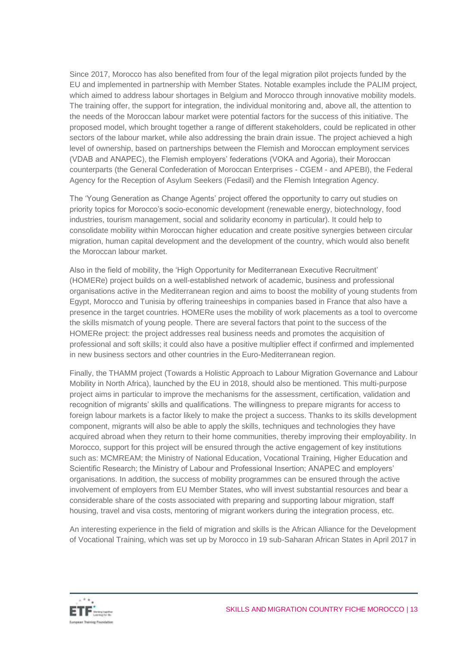Since 2017, Morocco has also benefited from four of the legal migration pilot projects funded by the EU and implemented in partnership with Member States. Notable examples include the PALIM project, which aimed to address labour shortages in Belgium and Morocco through innovative mobility models. The training offer, the support for integration, the individual monitoring and, above all, the attention to the needs of the Moroccan labour market were potential factors for the success of this initiative. The proposed model, which brought together a range of different stakeholders, could be replicated in other sectors of the labour market, while also addressing the brain drain issue. The project achieved a high level of ownership, based on partnerships between the Flemish and Moroccan employment services (VDAB and ANAPEC), the Flemish employers' federations (VOKA and Agoria), their Moroccan counterparts (the General Confederation of Moroccan Enterprises - CGEM - and APEBI), the Federal Agency for the Reception of Asylum Seekers (Fedasil) and the Flemish Integration Agency.

The 'Young Generation as Change Agents' project offered the opportunity to carry out studies on priority topics for Morocco's socio-economic development (renewable energy, biotechnology, food industries, tourism management, social and solidarity economy in particular). It could help to consolidate mobility within Moroccan higher education and create positive synergies between circular migration, human capital development and the development of the country, which would also benefit the Moroccan labour market.

Also in the field of mobility, the 'High Opportunity for Mediterranean Executive Recruitment' (HOMERe) project builds on a well-established network of academic, business and professional organisations active in the Mediterranean region and aims to boost the mobility of young students from Egypt, Morocco and Tunisia by offering traineeships in companies based in France that also have a presence in the target countries. HOMERe uses the mobility of work placements as a tool to overcome the skills mismatch of young people. There are several factors that point to the success of the HOMERe project: the project addresses real business needs and promotes the acquisition of professional and soft skills; it could also have a positive multiplier effect if confirmed and implemented in new business sectors and other countries in the Euro-Mediterranean region.

Finally, the THAMM project (Towards a Holistic Approach to Labour Migration Governance and Labour Mobility in North Africa), launched by the EU in 2018, should also be mentioned. This multi-purpose project aims in particular to improve the mechanisms for the assessment, certification, validation and recognition of migrants' skills and qualifications. The willingness to prepare migrants for access to foreign labour markets is a factor likely to make the project a success. Thanks to its skills development component, migrants will also be able to apply the skills, techniques and technologies they have acquired abroad when they return to their home communities, thereby improving their employability. In Morocco, support for this project will be ensured through the active engagement of key institutions such as: MCMREAM; the Ministry of National Education, Vocational Training, Higher Education and Scientific Research; the Ministry of Labour and Professional Insertion; ANAPEC and employers' organisations. In addition, the success of mobility programmes can be ensured through the active involvement of employers from EU Member States, who will invest substantial resources and bear a considerable share of the costs associated with preparing and supporting labour migration, staff housing, travel and visa costs, mentoring of migrant workers during the integration process, etc.

An interesting experience in the field of migration and skills is the African Alliance for the Development of Vocational Training, which was set up by Morocco in 19 sub-Saharan African States in April 2017 in

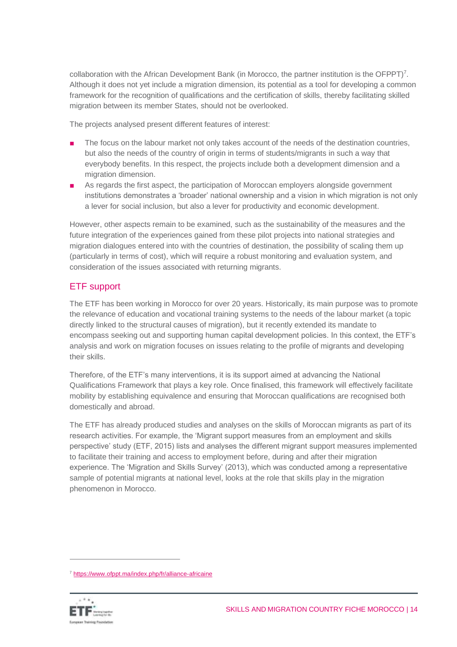collaboration with the African Development Bank (in Morocco, the partner institution is the OFPPT)<sup>7</sup>. Although it does not yet include a migration dimension, its potential as a tool for developing a common framework for the recognition of qualifications and the certification of skills, thereby facilitating skilled migration between its member States, should not be overlooked.

The projects analysed present different features of interest:

- The focus on the labour market not only takes account of the needs of the destination countries, but also the needs of the country of origin in terms of students/migrants in such a way that everybody benefits. In this respect, the projects include both a development dimension and a migration dimension.
- As regards the first aspect, the participation of Moroccan employers alongside government institutions demonstrates a 'broader' national ownership and a vision in which migration is not only a lever for social inclusion, but also a lever for productivity and economic development.

However, other aspects remain to be examined, such as the sustainability of the measures and the future integration of the experiences gained from these pilot projects into national strategies and migration dialogues entered into with the countries of destination, the possibility of scaling them up (particularly in terms of cost), which will require a robust monitoring and evaluation system, and consideration of the issues associated with returning migrants.

### ETF support

The ETF has been working in Morocco for over 20 years. Historically, its main purpose was to promote the relevance of education and vocational training systems to the needs of the labour market (a topic directly linked to the structural causes of migration), but it recently extended its mandate to encompass seeking out and supporting human capital development policies. In this context, the ETF's analysis and work on migration focuses on issues relating to the profile of migrants and developing their skills.

Therefore, of the ETF's many interventions, it is its support aimed at advancing the National Qualifications Framework that plays a key role. Once finalised, this framework will effectively facilitate mobility by establishing equivalence and ensuring that Moroccan qualifications are recognised both domestically and abroad.

The ETF has already produced studies and analyses on the skills of Moroccan migrants as part of its research activities. For example, the 'Migrant support measures from an employment and skills perspective' study (ETF, 2015) lists and analyses the different migrant support measures implemented to facilitate their training and access to employment before, during and after their migration experience. The 'Migration and Skills Survey' (2013), which was conducted among a representative sample of potential migrants at national level, looks at the role that skills play in the migration phenomenon in Morocco.

<sup>7</sup> <https://www.ofppt.ma/index.php/fr/alliance-africaine>

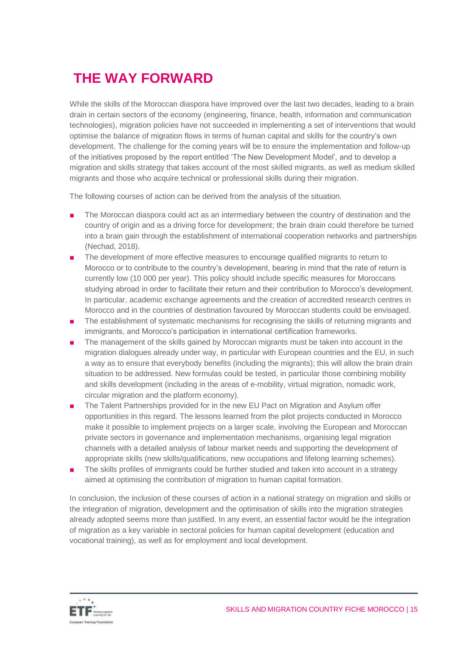# <span id="page-14-0"></span>**THE WAY FORWARD**

While the skills of the Moroccan diaspora have improved over the last two decades, leading to a brain drain in certain sectors of the economy (engineering, finance, health, information and communication technologies), migration policies have not succeeded in implementing a set of interventions that would optimise the balance of migration flows in terms of human capital and skills for the country's own development. The challenge for the coming years will be to ensure the implementation and follow-up of the initiatives proposed by the report entitled 'The New Development Model', and to develop a migration and skills strategy that takes account of the most skilled migrants, as well as medium skilled migrants and those who acquire technical or professional skills during their migration.

The following courses of action can be derived from the analysis of the situation.

- The Moroccan diaspora could act as an intermediary between the country of destination and the country of origin and as a driving force for development; the brain drain could therefore be turned into a brain gain through the establishment of international cooperation networks and partnerships (Nechad, 2018).
- The development of more effective measures to encourage qualified migrants to return to Morocco or to contribute to the country's development, bearing in mind that the rate of return is currently low (10 000 per year). This policy should include specific measures for Moroccans studying abroad in order to facilitate their return and their contribution to Morocco's development. In particular, academic exchange agreements and the creation of accredited research centres in Morocco and in the countries of destination favoured by Moroccan students could be envisaged.
- The establishment of systematic mechanisms for recognising the skills of returning migrants and immigrants, and Morocco's participation in international certification frameworks.
- The management of the skills gained by Moroccan migrants must be taken into account in the migration dialogues already under way, in particular with European countries and the EU, in such a way as to ensure that everybody benefits (including the migrants); this will allow the brain drain situation to be addressed. New formulas could be tested, in particular those combining mobility and skills development (including in the areas of e-mobility, virtual migration, nomadic work, circular migration and the platform economy).
- The Talent Partnerships provided for in the new EU Pact on Migration and Asylum offer opportunities in this regard. The lessons learned from the pilot projects conducted in Morocco make it possible to implement projects on a larger scale, involving the European and Moroccan private sectors in governance and implementation mechanisms, organising legal migration channels with a detailed analysis of labour market needs and supporting the development of appropriate skills (new skills/qualifications, new occupations and lifelong learning schemes).
- The skills profiles of immigrants could be further studied and taken into account in a strategy aimed at optimising the contribution of migration to human capital formation.

In conclusion, the inclusion of these courses of action in a national strategy on migration and skills or the integration of migration, development and the optimisation of skills into the migration strategies already adopted seems more than justified. In any event, an essential factor would be the integration of migration as a key variable in sectoral policies for human capital development (education and vocational training), as well as for employment and local development.

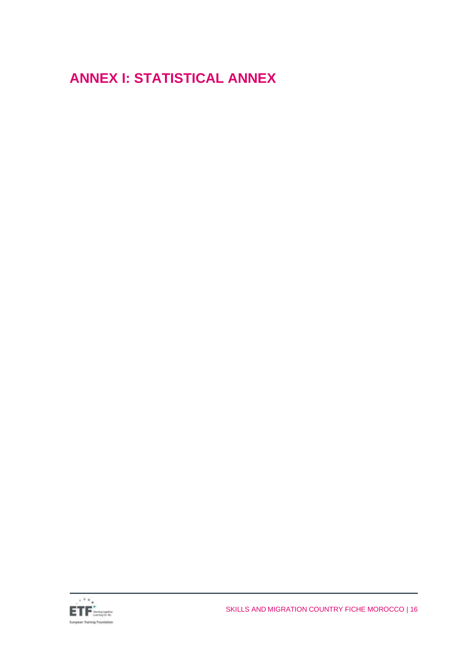## <span id="page-15-0"></span>**ANNEX I: STATISTICAL ANNEX**

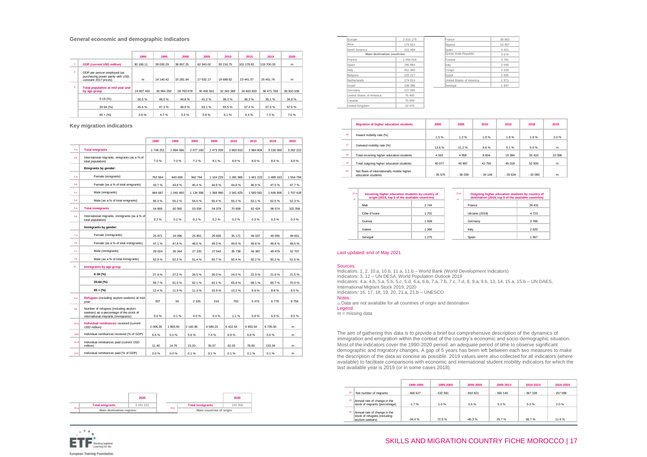#### **General economic and demographic indicators**

|                |                                                                                           | 1990       | 1995       | 2000       | 2005       | 2010       | 2015       | 2019       | 2020       |
|----------------|-------------------------------------------------------------------------------------------|------------|------------|------------|------------|------------|------------|------------|------------|
|                | <b>GDP (current USD million)</b>                                                          | 30 180.11  | 39 030.29  | 38 857.25  | 62 343.02  | 93 216 75  | 101 179.81 | 119 700.33 | m          |
| $\overline{2}$ | GDP per person employed (as<br>purchasing power parity with USD,<br>constant 2017 prices) | m          | 14 14 0.42 | 15 281.94  | 17 032.17  | 19 689.62  | 23 441.37  | 25 401.74  | m          |
| 3              | Total population at mid-year and<br>by age group                                          | 24 807 462 | 26 994 250 | 28 793 679 | 30 455 561 | 32 343 389 | 34 663 603 | 36 471 769 | 36 910 558 |
|                | $0-19(%)$                                                                                 | 50.5%      | 48.0%      | 44.8%      | 41.2%      | 38.3%      | 36.3%      | 35.1%      | 34.8%      |
|                | 20-64 (%)                                                                                 | 45.6%      | 47.3%      | 49.9%      | 53.1%      | 55.5%      | 57.4%      | 57.6%      | 57.6%      |
|                | $65 + (%)$                                                                                | 3.9%       | 4.7%       | 5.3%       | 5.8%       | 6.1%       | 6.4%       | 7.3%       | 7.6%       |

**Key migration indicators**

|                 |                                                                                                                         | 1990     | 1995      | 2000      | 2005      | 2010      | 2015      | 2019      | 2020      |
|-----------------|-------------------------------------------------------------------------------------------------------------------------|----------|-----------|-----------|-----------|-----------|-----------|-----------|-----------|
| 4.a             | <b>Total emigrants</b>                                                                                                  | 1748 251 | 1884 066  | 2 077 160 | 2 473 209 | 2 863 810 | 2 984 804 | 3 136 069 | 3 262 222 |
| 4 <sub>b</sub>  | International migrants: emigrants (as a % of<br>total population)                                                       | 7.0%     | 7.0%      | 7.2%      | 8.1%      | 8.9%      | 8.6%      | 8.6%      | 8.8%      |
|                 | Emigrants by gender:                                                                                                    |          |           |           |           |           |           |           |           |
| 5.a             | Female (emigrants)                                                                                                      | 763 564  | 843 606   | 942 764   | 1 104 229 | 1 281 985 | 1 401 223 | 1 489 163 | 1 554 794 |
| <b>5.b</b>      | Female (as a % of total emigrants)                                                                                      | 43.7%    | 44.8%     | 45.4%     | 44.6%     | 44.8%     | 46.9%     | 47.5%     | 47.7%     |
| 5.c             | Male (emigrants)                                                                                                        | 984 687  | 1 040 460 | 1 134 396 | 1 368 980 | 1 581 825 | 1 583 581 | 1 646 906 | 1707428   |
| 6.d             | Male (as a % of total emigrants)                                                                                        | 56.3%    | 55.2%     | 54.6%     | 55.4%     | 55.2%     | 53.1%     | 52.5%     | 52.3%     |
| 6.a             | <b>Total immigrants</b>                                                                                                 | 54 895   | 50 360    | 53 034    | 54 379    | 70 909    | 92 424    | 98 574    | 102 358   |
| 6.b             | International migrants: immigrants (as a % of<br>total population)                                                      | 0.2%     | 0.2%      | 0.2%      | 0.2%      | 0.2%      | 0.3%      | 0.3%      | 0.3%      |
|                 | Immigrants by gender:                                                                                                   |          |           |           |           |           |           |           |           |
| 7.a             | Female (immigrants)                                                                                                     | 25 871   | 24 096    | 25 801    | 26 836    | 35 171    | 46 037    | 49 0 95   | 49 651    |
| 7 <sub>b</sub>  | Female (as a % of total immigrants)                                                                                     | 47.1%    | 47.8%     | 48.6%     | 49.3%     | 49.6%     | 49.8%     | 49.8%     | 48.5%     |
| 7.c             | Male (immigrants)                                                                                                       | 29 0 24  | 26 264    | 27 233    | 27 543    | 35 738    | 46 387    | 49 479    | 52 707    |
| 7.d             | Male (as a % of total immigrants)                                                                                       | 52.9%    | 52.2%     | 51.4%     | 50.7%     | 50.4%     | 50.2%     | 50.2%     | 51.5%     |
| 8               | Immigrants by age group                                                                                                 |          |           |           |           |           |           |           |           |
|                 | $0-19(%)$                                                                                                               | 27.9%    | 27.2%     | 26.5%     | 26.0%     | 24.0%     | 22.9%     | 21.6%     | 21.5%     |
|                 | 20-64 (%)                                                                                                               | 59.7%    | 61.0%     | 62.1%     | 63.1%     | 65.8%     | 68.1%     | 69.7%     | 70.0%     |
|                 | $65 + (%)$                                                                                                              | 12.4%    | 11.9%     | 11.3%     | 10.9%     | 10.2%     | 8.9%      | 8.8%      | 8.5%      |
| 9.a             | Refugees (including asylum seekers) at mid-<br>vear                                                                     | 307      | 55        | 2 1 0 5   | 219       | 792       | 5473      | 6779      | 9756      |
| 9 <sub>b</sub>  | Number of refugees (including asylum<br>seekers) as a percentage of the stock of<br>international migrants (immigrants) | 0.6%     | 0.1%      | 4.0%      | 0.4%      | 1.1%      | 5.9%      | 6.9%      | 9.5%      |
| 10.a            | Individual remittances received (current<br>USD million)                                                                | 2 006.35 | 1969.50   | 2 160.96  | 4589.23   | 6 422.54  | 6 903.54  | 6735.50   | m.        |
| 10 <sub>b</sub> | Individual remittances received (% of GDP)                                                                              | 6.6%     | 5.0%      | 5.6%      | 7.4%      | 6.9%      | 6.8%      | 5.6%      | m         |
| 11.a            | Individual remittances paid (current USD<br>million)                                                                    | 11.40    | 14.75     | 23.20     | 35.07     | 62.03     | 78.80     | 133.34    | m         |
| 11b             | Individual remittances paid (% of GDP)                                                                                  | 0.0%     | 0.0%      | 0.1%      | 0.1%      | 0.1%      | 0.1%      | 0.1%      | m         |





| Europe                      | 2 910 179 |  |
|-----------------------------|-----------|--|
| Asia                        | 174 814   |  |
| North America               | 151 469   |  |
| Main destination countries: |           |  |
| France                      | 1 059 918 |  |
| Spain                       | 785 884   |  |
| Italy                       | 451 960   |  |
| Belgium                     | 225 217   |  |
| Netherlands                 | 174 914   |  |
| Israel                      | 158 396   |  |
| Germany                     | 127 095   |  |
| United States of America    | 76 460    |  |
| Canada                      | 75 009    |  |
| United Kingdom              | 22 476    |  |

|                             | 2 910 179 | France                   | 38 063   |
|-----------------------------|-----------|--------------------------|----------|
|                             | 174 814   | Algeria                  | 14 4 9 7 |
| ă.                          | 151 469   | Spain                    | 4 4 2 1  |
| Main destination countries: |           | Syrian Arab Republic     | 3 676    |
|                             | 1 059 918 | Tunisia                  | 2 7 8 1  |
|                             | 785 884   | Italy                    | 2 0 4 5  |
|                             | 451 960   | Congo                    | 2 0 2 8  |
|                             | 225 217   | Eqypt                    | 2 0 0 5  |
|                             | 174 914   | United States of America | 1 971    |
|                             | 158 396   | Senegal                  | 1 947    |
|                             | 127 095   |                          |          |

|    | Migration of higher education students                           | 2000     | 2005     | 2010     | 2015     | 2018     | 2019   |
|----|------------------------------------------------------------------|----------|----------|----------|----------|----------|--------|
| 16 | Inward mobility rate (%)                                         | 1.5%     | 1.3%     | 1.9%     | 1.8%     | 1.9%     | 2.0%   |
| 17 | Outward mobility rate (%)                                        | 13.6%    | 11.2%    | 9.6%     | 5.1%     | 5.0%     | m      |
| 18 | Total incoming higher education students                         | 4 5 0 2  | 4 9 5 8  | 8 6 0 4  | 15 3 84  | 20 410   | 22 096 |
| 19 | Total outgoing higher education students                         | 40 077   | 40 997   | 42 750   | 45 018   | 52 500   | m      |
| 20 | Net flows of internationally mobile higher<br>education students | $-35575$ | $-36039$ | $-34146$ | $-29634$ | $-32090$ | m      |

| 21.a<br>CD. | Incoming higher education students by country of<br>origin (2019, top 5 of the available countries) |         | 21b<br>(1) | Outgoing higher education students by country of<br>destination (2018, top 5 of the available countries) |         |  |
|-------------|-----------------------------------------------------------------------------------------------------|---------|------------|----------------------------------------------------------------------------------------------------------|---------|--|
|             | Mali                                                                                                | 2744    |            | France                                                                                                   | 28 431  |  |
|             | Côte d'Ivoire                                                                                       | 1 701   |            | <b>Ukraine</b> (2019)                                                                                    | 4 7 2 3 |  |
|             | Guinea                                                                                              | 1608    |            | Germany                                                                                                  | 3789    |  |
|             | Gabon                                                                                               | 1 3 6 6 |            | Italy                                                                                                    | 2620    |  |
|             | Senegal                                                                                             | 1 2 7 5 |            | Spain                                                                                                    | 1967    |  |

#### Last updated: end of May 2021

#### Sources:

Indicators: 1, 2, 10.a, 10.b, 11.a, 11.b – World Bank (World Development Indicators) Indicators: 3, 12 – UN DESA, World Population Outlook 2019 Indicators: 4.a, 4.b, 5.a, 5.b, 5.c, 5.d, 6.a, 6.b, 7.a, 7.b, 7.c, 7.d, 8, 9.a, 9.b, 13, 14, 15.a, 15.b – UN DAES, International Migrant Stock 2019, 2020 Indicators: 16, 17, 18, 19, 20, 21.a, 21.b – UNESCO Notes: (1) Data are not available for all countries of origin and destination Legend:

 $m =$  missing data

The aim of gathering this data is to provide a brief but comprehensive description of the dynamics of immigration and emigration within the context of the country's economic and socio-demographic situation. Most of the indicators cover the 1990-2020 period: an adequate period of time to observe significant demographic and migratory changes. A gap of 5 years has been left between each two measures to make the description of the data as concise as possible. 2019 values were also collected for all indicators (where available) to facilitate comparisons with economic and international student mobility indicators for which the last available year is 2019 (or in some cases 2018).

|    |                                                                                 | 1990-1995 | 1995-2000  | 2000-2005 | 2005-2010 | 2010-2015 | 2015-2020 |
|----|---------------------------------------------------------------------------------|-----------|------------|-----------|-----------|-----------|-----------|
| 12 | Net number of migrants                                                          | $-466627$ | $-532.581$ | $-654821$ | $-565140$ | $-367108$ | $-257096$ |
|    | Annual rate of change in the<br>stock of migrants (percentage)                  | $-1.7%$   | 1.0%       | 0.5%      | 5.3%      | 5.3%      | 2.0%      |
|    | Annual rate of change in the<br>stock of refugees (including<br>asylum seekers) | $-34.4%$  | 72.9%      | $-45.3%$  | 25.7%     | 38.7%     | 11.6%     |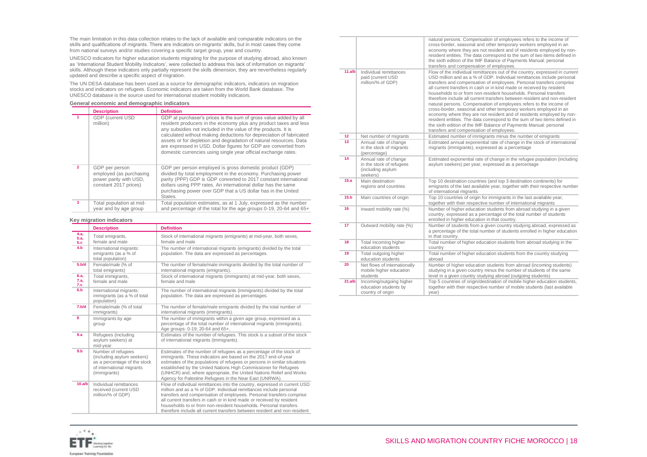The main limitation in this data collection relates to the lack of available and comparable indicators on the skills and qualifications of migrants. There are indicators on migrants' skills, but in most cases they come from national surveys and/or studies covering a specific target group, year and country.

UNESCO indicators for higher education students migrating for the purpose of studying abroad, also known as 'International Student Mobility Indicators', were collected to address this lack of information on migrants' skills. Although these indicators only partially represent the skills dimension, they are nevertheless regularly updated and describe a specific aspect of migration.

The UN DESA database has been used as a source for demographic indicators, indicators on migration stocks and indicators on refugees. Economic indicators are taken from the World Bank database. The UNESCO database is the source used for international student mobility indicators.

#### **General economic and demographic indicators**

|                      | <b>Description</b>                                                                           | <b>Definition</b>                                                                                                                                                                                                                                                                                                                                                                                                                                                                         |
|----------------------|----------------------------------------------------------------------------------------------|-------------------------------------------------------------------------------------------------------------------------------------------------------------------------------------------------------------------------------------------------------------------------------------------------------------------------------------------------------------------------------------------------------------------------------------------------------------------------------------------|
| $\blacktriangleleft$ | <b>GDP</b> (current USD)<br>million)                                                         | GDP at purchaser's prices is the sum of gross value added by all<br>resident producers in the economy plus any product taxes and less<br>any subsidies not included in the value of the products. It is<br>calculated without making deductions for depreciation of fabricated<br>assets or for depletion and degradation of natural resources. Data<br>are expressed in USD. Dollar figures for GDP are converted from<br>domestic currencies using single year official exchange rates. |
| $\overline{2}$       | GDP per person<br>employed (as purchasing<br>power parity with USD,<br>constant 2017 prices) | GDP per person employed is gross domestic product (GDP)<br>divided by total employment in the economy. Purchasing power<br>parity (PPP) GDP is GDP converted to 2017 constant international<br>dollars using PPP rates. An international dollar has the same<br>purchasing power over GDP that a US dollar has in the United<br>States.                                                                                                                                                   |
| 3                    | Total population at mid-<br>year and by age group                                            | Total population estimates, as at 1 July, expressed as the number<br>and percentage of the total for the age groups 0-19, 20-64 and 65+                                                                                                                                                                                                                                                                                                                                                   |

#### **Key migration indicators**

|                     | <b>Description</b>                                                                                                            | <b>Definition</b>                                                                                                                                                                                                                                                                                                                                                                                                                                  |
|---------------------|-------------------------------------------------------------------------------------------------------------------------------|----------------------------------------------------------------------------------------------------------------------------------------------------------------------------------------------------------------------------------------------------------------------------------------------------------------------------------------------------------------------------------------------------------------------------------------------------|
| 4.a.<br>5.a.<br>5.c | Total emigrants,<br>female and male                                                                                           | Stock of international migrants (emigrants) at mid-year, both sexes,<br>female and male                                                                                                                                                                                                                                                                                                                                                            |
| 4.b                 | International migrants:<br>emigrants (as a % of<br>total population)                                                          | The number of international migrants (emigrants) divided by the total<br>population. The data are expressed as percentages.                                                                                                                                                                                                                                                                                                                        |
| 5.b/d               | Female/male (% of<br>total emigrants)                                                                                         | The number of female/male immigrants divided by the total number of<br>international migrants (emigrants).                                                                                                                                                                                                                                                                                                                                         |
| 6.a.<br>7.a.<br>7.c | Total immigrants,<br>female and male                                                                                          | Stock of international migrants (immigrants) at mid-year, both sexes,<br>female and male                                                                                                                                                                                                                                                                                                                                                           |
| 6.b                 | International migrants:<br>immigrants (as a % of total<br>population)                                                         | The number of international migrants (immigrants) divided by the total<br>population. The data are expressed as percentages.                                                                                                                                                                                                                                                                                                                       |
| 7.b/d               | Female/male (% of total<br>immigrants)                                                                                        | The number of female/male emigrants divided by the total number of<br>international migrants (immigrants).                                                                                                                                                                                                                                                                                                                                         |
| 8                   | Immigrants by age<br>group                                                                                                    | The number of immigrants within a given age group, expressed as a<br>percentage of the total number of international migrants (immigrants).<br>Age groups: 0-19; 20-64 and 65+.                                                                                                                                                                                                                                                                    |
| 9.a                 | Refugees (including<br>asylum seekers) at<br>mid-year                                                                         | Estimates of the number of refugees. This stock is a subset of the stock<br>of international migrants (immigrants).                                                                                                                                                                                                                                                                                                                                |
| 9.b                 | Number of refugees<br>(including asylum seekers)<br>as a percentage of the stock<br>of international migrants<br>(immigrants) | Estimates of the number of refugees as a percentage of the stock of<br>immigrants. These indicators are based on the 2017 end-of-year<br>estimates of the populations of refugees or persons in similar situations<br>established by the United Nations High Commissioner for Refugees<br>(UNHCR) and, where appropriate, the United Nations Relief and Works<br>Agency for Palestine Refugees in the Near East (UNRWA).                           |
| 10.a/b              | Individual remittances<br>received (current USD<br>million/% of GDP)                                                          | Flow of individual remittances into the country, expressed in current USD<br>million and as a % of GDP. Individual remittances include personal<br>transfers and compensation of employees. Personal transfers comprise<br>all current transfers in cash or in kind made or received by resident<br>households to or from non-resident households. Personal transfers<br>therefore include all current transfers between resident and non-resident |

| 11.a/b | Individual remittances<br>paid (current USD<br>million/% of GDP)                   | natural persons. Compensation of employees refers to the income of<br>cross-border, seasonal and other temporary workers employed in an<br>economy where they are not resident and of residents employed by non-<br>resident entities. The data correspond to the sum of two items defined in<br>the sixth edition of the IMF Balance of Payments Manual: personal<br>transfers and compensation of employees.<br>Flow of the individual remittances out of the country, expressed in current<br>USD million and as a % of GDP. Individual remittances include personal<br>transfers and compensation of employees. Personal transfers comprise<br>all current transfers in cash or in kind made or received by resident<br>households to or from non-resident households. Personal transfers<br>therefore include all current transfers between resident and non-resident<br>natural persons. Compensation of employees refers to the income of<br>cross-border, seasonal and other temporary workers employed in an<br>economy where they are not resident and of residents employed by non-<br>resident entities. The data correspond to the sum of two items defined in<br>the sixth edition of the IMF Balance of Payments Manual: personal<br>transfers and compensation of employees. |
|--------|------------------------------------------------------------------------------------|----------------------------------------------------------------------------------------------------------------------------------------------------------------------------------------------------------------------------------------------------------------------------------------------------------------------------------------------------------------------------------------------------------------------------------------------------------------------------------------------------------------------------------------------------------------------------------------------------------------------------------------------------------------------------------------------------------------------------------------------------------------------------------------------------------------------------------------------------------------------------------------------------------------------------------------------------------------------------------------------------------------------------------------------------------------------------------------------------------------------------------------------------------------------------------------------------------------------------------------------------------------------------------------------|
| 12     | Net number of migrants                                                             | Estimated number of immigrants minus the number of emigrants                                                                                                                                                                                                                                                                                                                                                                                                                                                                                                                                                                                                                                                                                                                                                                                                                                                                                                                                                                                                                                                                                                                                                                                                                                 |
| 13     | Annual rate of change<br>in the stock of migrants<br>(percentage)                  | Estimated annual exponential rate of change in the stock of international<br>migrants (immigrants), expressed as a percentage                                                                                                                                                                                                                                                                                                                                                                                                                                                                                                                                                                                                                                                                                                                                                                                                                                                                                                                                                                                                                                                                                                                                                                |
| 14     | Annual rate of change<br>in the stock of refugees<br>(including asylum<br>seekers) | Estimated exponential rate of change in the refugee population (including<br>asylum seekers) per year, expressed as a percentage                                                                                                                                                                                                                                                                                                                                                                                                                                                                                                                                                                                                                                                                                                                                                                                                                                                                                                                                                                                                                                                                                                                                                             |
| 15.a   | Main destination<br>regions and countries                                          | Top 10 destination countries (and top 3 destination continents) for<br>emigrants of the last available year, together with their respective number<br>of international migrants                                                                                                                                                                                                                                                                                                                                                                                                                                                                                                                                                                                                                                                                                                                                                                                                                                                                                                                                                                                                                                                                                                              |
| 15.b   | Main countries of origin                                                           | Top 10 countries of origin for immigrants in the last available year,<br>together with their respective number of international migrants                                                                                                                                                                                                                                                                                                                                                                                                                                                                                                                                                                                                                                                                                                                                                                                                                                                                                                                                                                                                                                                                                                                                                     |
| 16     | Inward mobility rate (%)                                                           | Number of higher education students from abroad studving in a given<br>country, expressed as a percentage of the total number of students<br>enrolled in higher education in that country.                                                                                                                                                                                                                                                                                                                                                                                                                                                                                                                                                                                                                                                                                                                                                                                                                                                                                                                                                                                                                                                                                                   |
| 17     | Outward mobility rate (%)                                                          | Number of students from a given country studying abroad, expressed as<br>a percentage of the total number of students enrolled in higher education<br>in that country.                                                                                                                                                                                                                                                                                                                                                                                                                                                                                                                                                                                                                                                                                                                                                                                                                                                                                                                                                                                                                                                                                                                       |
| 18     | Total incoming higher<br>education students                                        | Total number of higher education students from abroad studying in the<br>country                                                                                                                                                                                                                                                                                                                                                                                                                                                                                                                                                                                                                                                                                                                                                                                                                                                                                                                                                                                                                                                                                                                                                                                                             |
| 19     | Total outgoing higher<br>education students                                        | Total number of higher education students from the country studying<br>abroad                                                                                                                                                                                                                                                                                                                                                                                                                                                                                                                                                                                                                                                                                                                                                                                                                                                                                                                                                                                                                                                                                                                                                                                                                |
| 20     | Net flows of internationally<br>mobile higher education<br>students                | Number of higher education students from abroad (incoming students)<br>studying in a given country minus the number of students of the same<br>level in a given country studying abroad (outgoing students)                                                                                                                                                                                                                                                                                                                                                                                                                                                                                                                                                                                                                                                                                                                                                                                                                                                                                                                                                                                                                                                                                  |
| 21.a/b | Incoming/outgoing higher<br>education students by<br>country of origin             | Top 5 countries of origin/destination of mobile higher education students,<br>together with their respective number of mobile students (last available<br>year)                                                                                                                                                                                                                                                                                                                                                                                                                                                                                                                                                                                                                                                                                                                                                                                                                                                                                                                                                                                                                                                                                                                              |

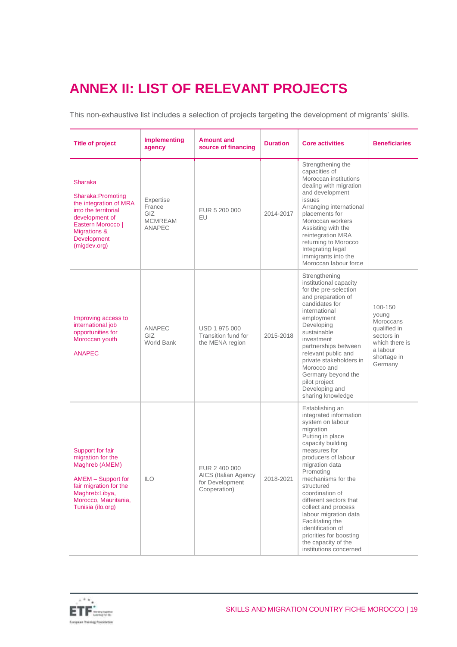# <span id="page-18-0"></span>**ANNEX II: LIST OF RELEVANT PROJECTS**

This non-exhaustive list includes a selection of projects targeting the development of migrants' skills.

| Implementing<br><b>Title of project</b><br>agency                                                                                                                                       |                                                               | <b>Amount and</b><br>source of financing                                 | <b>Duration</b> | <b>Core activities</b>                                                                                                                                                                                                                                                                                                                                                                                                                          | <b>Beneficiaries</b>                                                                                                |
|-----------------------------------------------------------------------------------------------------------------------------------------------------------------------------------------|---------------------------------------------------------------|--------------------------------------------------------------------------|-----------------|-------------------------------------------------------------------------------------------------------------------------------------------------------------------------------------------------------------------------------------------------------------------------------------------------------------------------------------------------------------------------------------------------------------------------------------------------|---------------------------------------------------------------------------------------------------------------------|
| <b>Sharaka</b><br>Sharaka: Promoting<br>the integration of MRA<br>into the territorial<br>development of<br>Eastern Morocco  <br><b>Migrations &amp;</b><br>Development<br>(migdev.org) | Expertise<br>France<br>GIZ<br><b>MCMREAM</b><br><b>ANAPEC</b> | EUR 5 200 000<br>EU                                                      | 2014-2017       | Strengthening the<br>capacities of<br>Moroccan institutions<br>dealing with migration<br>and development<br>issues<br>Arranging international<br>placements for<br>Moroccan workers<br>Assisting with the<br>reintegration MRA<br>returning to Morocco<br>Integrating legal<br>immigrants into the<br>Moroccan labour force                                                                                                                     |                                                                                                                     |
| Improving access to<br>international job<br>opportunities for<br>Moroccan youth<br><b>ANAPEC</b>                                                                                        | ANAPEC<br>GIZ<br><b>World Bank</b>                            | USD 1 975 000<br>Transition fund for<br>the MENA region                  | 2015-2018       | Strengthening<br>institutional capacity<br>for the pre-selection<br>and preparation of<br>candidates for<br>international<br>employment<br>Developing<br>sustainable<br>investment<br>partnerships between<br>relevant public and<br>private stakeholders in<br>Morocco and<br>Germany beyond the<br>pilot project<br>Developing and<br>sharing knowledge                                                                                       | 100-150<br>young<br>Moroccans<br>qualified in<br>sectors in<br>which there is<br>a labour<br>shortage in<br>Germany |
| Support for fair<br>migration for the<br>Maghreb (AMEM)<br>AMEM - Support for<br>fair migration for the<br>Maghreb:Libya,<br>Morocco, Mauritania,<br>Tunisia (ilo.org)                  | <b>ILO</b>                                                    | EUR 2 400 000<br>AICS (Italian Agency<br>for Development<br>Cooperation) | 2018-2021       | Establishing an<br>integrated information<br>system on labour<br>migration<br>Putting in place<br>capacity building<br>measures for<br>producers of labour<br>migration data<br>Promoting<br>mechanisms for the<br>structured<br>coordination of<br>different sectors that<br>collect and process<br>labour migration data<br>Facilitating the<br>identification of<br>priorities for boosting<br>the capacity of the<br>institutions concerned |                                                                                                                     |

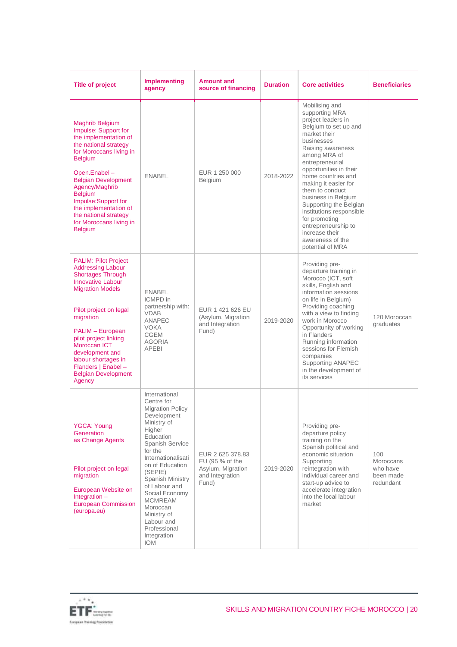| <b>Title of project</b>                                                                                                                                                                                                                                                                                                                                 | <b>Implementing</b><br>agency                                                                                                                                                                                                                                                                                                                                | <b>Amount and</b><br>source of financing                                             | <b>Duration</b> | <b>Core activities</b>                                                                                                                                                                                                                                                                                                                                                                                                                          | <b>Beneficiaries</b>                                          |
|---------------------------------------------------------------------------------------------------------------------------------------------------------------------------------------------------------------------------------------------------------------------------------------------------------------------------------------------------------|--------------------------------------------------------------------------------------------------------------------------------------------------------------------------------------------------------------------------------------------------------------------------------------------------------------------------------------------------------------|--------------------------------------------------------------------------------------|-----------------|-------------------------------------------------------------------------------------------------------------------------------------------------------------------------------------------------------------------------------------------------------------------------------------------------------------------------------------------------------------------------------------------------------------------------------------------------|---------------------------------------------------------------|
| <b>Maghrib Belgium</b><br>Impulse: Support for<br>the implementation of<br>the national strategy<br>for Moroccans living in<br><b>Belgium</b><br>Open.Enabel-<br><b>Belgian Development</b><br>Agency/Maghrib<br><b>Belgium</b><br>Impulse:Support for<br>the implementation of<br>the national strategy<br>for Moroccans living in<br><b>Belgium</b>   | <b>ENABEL</b>                                                                                                                                                                                                                                                                                                                                                | EUR 1 250 000<br><b>Belgium</b>                                                      | 2018-2022       | Mobilising and<br>supporting MRA<br>project leaders in<br>Belgium to set up and<br>market their<br>businesses<br>Raising awareness<br>among MRA of<br>entrepreneurial<br>opportunities in their<br>home countries and<br>making it easier for<br>them to conduct<br>business in Belgium<br>Supporting the Belgian<br>institutions responsible<br>for promoting<br>entrepreneurship to<br>increase their<br>awareness of the<br>potential of MRA |                                                               |
| <b>PALIM: Pilot Project</b><br><b>Addressing Labour</b><br><b>Shortages Through</b><br><b>Innovative Labour</b><br><b>Migration Models</b><br>Pilot project on legal<br>migration<br>PALIM - European<br>pilot project linking<br>Moroccan ICT<br>development and<br>labour shortages in<br>Flanders   Enabel -<br><b>Belgian Development</b><br>Agency | <b>ENABEL</b><br>ICMPD in<br>partnership with:<br><b>VDAB</b><br><b>ANAPEC</b><br><b>VOKA</b><br><b>CGEM</b><br><b>AGORIA</b><br>APEBI                                                                                                                                                                                                                       | EUR 1 421 626 EU<br>(Asylum, Migration<br>and Integration<br>Fund)                   | 2019-2020       | Providing pre-<br>departure training in<br>Morocco (ICT, soft<br>skills, English and<br>information sessions<br>on life in Belgium)<br>Providing coaching<br>with a view to finding<br>work in Morocco<br>Opportunity of working<br>in Flanders<br>Running information<br>sessions for Flemish<br>companies<br><b>Supporting ANAPEC</b><br>in the development of<br>its services                                                                | 120 Moroccan<br>graduates                                     |
| <b>YGCA: Young</b><br>Generation<br>as Change Agents<br>Pilot project on legal<br>migration<br>European Website on<br>Integration $-$<br><b>European Commission</b><br>(europa.eu)                                                                                                                                                                      | International<br>Centre for<br><b>Migration Policy</b><br>Development<br>Ministry of<br>Higher<br>Education<br>Spanish Service<br>for the<br>Internationalisati<br>on of Education<br>(SEPIE)<br>Spanish Ministry<br>of Labour and<br>Social Economy<br><b>MCMREAM</b><br>Moroccan<br>Ministry of<br>Labour and<br>Professional<br>Integration<br><b>IOM</b> | EUR 2 625 378.83<br>EU (95 % of the<br>Asylum, Migration<br>and Integration<br>Fund) | 2019-2020       | Providing pre-<br>departure policy<br>training on the<br>Spanish political and<br>economic situation<br>Supporting<br>reintegration with<br>individual career and<br>start-up advice to<br>accelerate integration<br>into the local labour<br>market                                                                                                                                                                                            | 100<br><b>Moroccans</b><br>who have<br>been made<br>redundant |

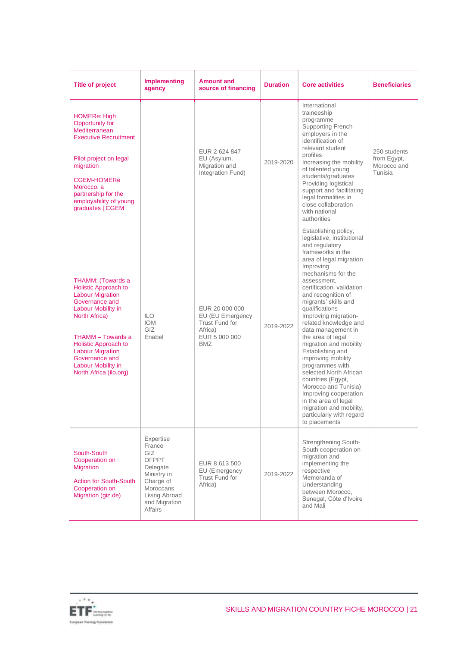| <b>Title of project</b>                                                                                                                                                                                                                                                        | Implementing<br>agency                                                                                                                       | <b>Amount and</b><br>source of financing                                                       | <b>Duration</b> | <b>Core activities</b>                                                                                                                                                                                                                                                                                                                                                                                                                                                                                                                                                                                                                                 | <b>Beneficiaries</b>                                  |
|--------------------------------------------------------------------------------------------------------------------------------------------------------------------------------------------------------------------------------------------------------------------------------|----------------------------------------------------------------------------------------------------------------------------------------------|------------------------------------------------------------------------------------------------|-----------------|--------------------------------------------------------------------------------------------------------------------------------------------------------------------------------------------------------------------------------------------------------------------------------------------------------------------------------------------------------------------------------------------------------------------------------------------------------------------------------------------------------------------------------------------------------------------------------------------------------------------------------------------------------|-------------------------------------------------------|
| <b>HOMERe: High</b><br>Opportunity for<br>Mediterranean<br><b>Executive Recruitment</b><br>Pilot project on legal<br>migration<br><b>CGEM-HOMERe</b><br>Morocco: a<br>partnership for the<br>employability of young<br>graduates   CGEM                                        |                                                                                                                                              | EUR 2 624 847<br>EU (Asylum,<br>Migration and<br>Integration Fund)                             | 2019-2020       | International<br>traineeship<br>programme<br><b>Supporting French</b><br>employers in the<br>identification of<br>relevant student<br>profiles<br>Increasing the mobility<br>of talented young<br>students/graduates<br>Providing logistical<br>support and facilitating<br>legal formalities in<br>close collaboration<br>with national<br>authorities                                                                                                                                                                                                                                                                                                | 250 students<br>from Egypt,<br>Morocco and<br>Tunisia |
| THAMM: (Towards a<br><b>Holistic Approach to</b><br><b>Labour Migration</b><br>Governance and<br>Labour Mobility in<br>North Africa)<br>THAMM - Towards a<br>Holistic Approach to<br><b>Labour Migration</b><br>Governance and<br>Labour Mobility in<br>North Africa (ilo.org) | ILO <sub>.</sub><br><b>IOM</b><br>GIZ<br>Enabel                                                                                              | EUR 20 000 000<br>EU (EU Emergency<br>Trust Fund for<br>Africa)<br>EUR 5 000 000<br><b>BMZ</b> | 2019-2022       | Establishing policy,<br>legislative, institutional<br>and regulatory<br>frameworks in the<br>area of legal migration<br>Improving<br>mechanisms for the<br>assessment.<br>certification, validation<br>and recognition of<br>migrants' skills and<br>qualifications<br>Improving migration-<br>related knowledge and<br>data management in<br>the area of legal<br>migration and mobility<br>Establishing and<br>improving mobility<br>programmes with<br>selected North African<br>countries (Egypt,<br>Morocco and Tunisia)<br>Improving cooperation<br>in the area of legal<br>migration and mobility,<br>particularly with regard<br>to placements |                                                       |
| South-South<br>Cooperation on<br><b>Migration</b><br><b>Action for South-South</b><br>Cooperation on<br>Migration (giz.de)                                                                                                                                                     | Expertise<br>France<br>GIZ<br><b>OFPPT</b><br>Delegate<br>Ministry in<br>Charge of<br>Moroccans<br>Living Abroad<br>and Migration<br>Affairs | EUR 8 613 500<br>EU (Emergency<br>Trust Fund for<br>Africa)                                    | 2019-2022       | Strengthening South-<br>South cooperation on<br>migration and<br>implementing the<br>respective<br>Memoranda of<br>Understanding<br>between Morocco,<br>Senegal, Côte d'Ivoire<br>and Mali                                                                                                                                                                                                                                                                                                                                                                                                                                                             |                                                       |

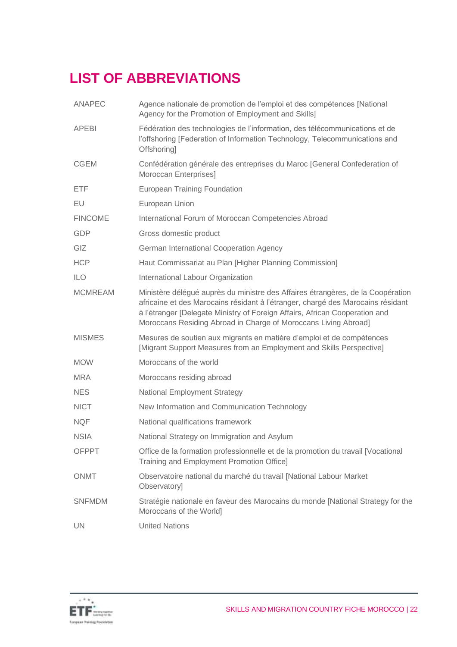# <span id="page-21-0"></span>**LIST OF ABBREVIATIONS**

| <b>ANAPEC</b>  | Agence nationale de promotion de l'emploi et des compétences [National<br>Agency for the Promotion of Employment and Skills]                                                                                                                                                                                         |
|----------------|----------------------------------------------------------------------------------------------------------------------------------------------------------------------------------------------------------------------------------------------------------------------------------------------------------------------|
| <b>APEBI</b>   | Fédération des technologies de l'information, des télécommunications et de<br>l'offshoring [Federation of Information Technology, Telecommunications and<br><b>Offshoring</b>                                                                                                                                        |
| <b>CGEM</b>    | Confédération générale des entreprises du Maroc [General Confederation of<br>Moroccan Enterprises]                                                                                                                                                                                                                   |
| <b>ETF</b>     | <b>European Training Foundation</b>                                                                                                                                                                                                                                                                                  |
| EU             | European Union                                                                                                                                                                                                                                                                                                       |
| <b>FINCOME</b> | International Forum of Moroccan Competencies Abroad                                                                                                                                                                                                                                                                  |
| GDP            | Gross domestic product                                                                                                                                                                                                                                                                                               |
| GIZ            | German International Cooperation Agency                                                                                                                                                                                                                                                                              |
| <b>HCP</b>     | Haut Commissariat au Plan [Higher Planning Commission]                                                                                                                                                                                                                                                               |
| <b>ILO</b>     | International Labour Organization                                                                                                                                                                                                                                                                                    |
| <b>MCMREAM</b> | Ministère délégué auprès du ministre des Affaires étrangères, de la Coopération<br>africaine et des Marocains résidant à l'étranger, chargé des Marocains résidant<br>à l'étranger [Delegate Ministry of Foreign Affairs, African Cooperation and<br>Moroccans Residing Abroad in Charge of Moroccans Living Abroad] |
| <b>MISMES</b>  | Mesures de soutien aux migrants en matière d'emploi et de compétences<br>[Migrant Support Measures from an Employment and Skills Perspective]                                                                                                                                                                        |
| <b>MOW</b>     | Moroccans of the world                                                                                                                                                                                                                                                                                               |
| <b>MRA</b>     | Moroccans residing abroad                                                                                                                                                                                                                                                                                            |
| <b>NES</b>     | <b>National Employment Strategy</b>                                                                                                                                                                                                                                                                                  |
| <b>NICT</b>    | New Information and Communication Technology                                                                                                                                                                                                                                                                         |
| <b>NQF</b>     | National qualifications framework                                                                                                                                                                                                                                                                                    |
| <b>NSIA</b>    | National Strategy on Immigration and Asylum                                                                                                                                                                                                                                                                          |
| <b>OFPPT</b>   | Office de la formation professionnelle et de la promotion du travail [Vocational<br>Training and Employment Promotion Office]                                                                                                                                                                                        |
| <b>ONMT</b>    | Observatoire national du marché du travail [National Labour Market<br>Observatory]                                                                                                                                                                                                                                   |
| <b>SNFMDM</b>  | Stratégie nationale en faveur des Marocains du monde [National Strategy for the<br>Moroccans of the World]                                                                                                                                                                                                           |
| UN             | <b>United Nations</b>                                                                                                                                                                                                                                                                                                |

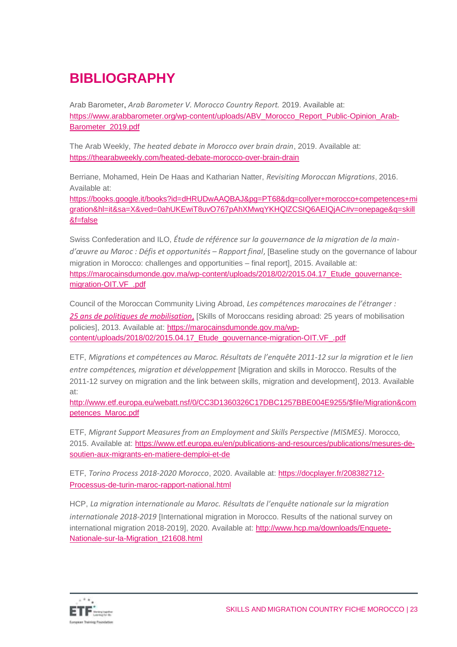# <span id="page-22-0"></span>**BIBLIOGRAPHY**

Arab Barometer, *Arab Barometer V. Morocco Country Report.* 2019. Available at: [https://www.arabbarometer.org/wp-content/uploads/ABV\\_Morocco\\_Report\\_Public-Opinion\\_Arab-](https://www.arabbarometer.org/wp-content/uploads/ABV_Morocco_Report_Public-Opinion_Arab-Barometer_2019.pdf)[Barometer\\_2019.pdf](https://www.arabbarometer.org/wp-content/uploads/ABV_Morocco_Report_Public-Opinion_Arab-Barometer_2019.pdf)

The Arab Weekly, *The heated debate in Morocco over brain drain*, 2019. Available at: <https://thearabweekly.com/heated-debate-morocco-over-brain-drain>

Berriane, Mohamed, Hein De Haas and Katharian Natter, *Revisiting Moroccan Migrations*, 2016. Available at:

[https://books.google.it/books?id=dHRUDwAAQBAJ&pg=PT68&dq=collyer+morocco+competences+mi](https://books.google.it/books?id=dHRUDwAAQBAJ&pg=PT68&dq=collyer+morocco+competences+migration&hl=it&sa=X&ved=0ahUKEwiT8uvO767pAhXMwqYKHQlZCSIQ6AEIQjAC#v=onepage&q=skill&f=false) [gration&hl=it&sa=X&ved=0ahUKEwiT8uvO767pAhXMwqYKHQlZCSIQ6AEIQjAC#v=onepage&q=skill](https://books.google.it/books?id=dHRUDwAAQBAJ&pg=PT68&dq=collyer+morocco+competences+migration&hl=it&sa=X&ved=0ahUKEwiT8uvO767pAhXMwqYKHQlZCSIQ6AEIQjAC#v=onepage&q=skill&f=false) [&f=false](https://books.google.it/books?id=dHRUDwAAQBAJ&pg=PT68&dq=collyer+morocco+competences+migration&hl=it&sa=X&ved=0ahUKEwiT8uvO767pAhXMwqYKHQlZCSIQ6AEIQjAC#v=onepage&q=skill&f=false)

Swiss Confederation and ILO, *Étude de référence sur la gouvernance de la migration de la maind'œuvre au Maroc : Défis et opportunités – Rapport final*, [Baseline study on the governance of labour migration in Morocco: challenges and opportunities – final report], 2015. Available at: [https://marocainsdumonde.gov.ma/wp-content/uploads/2018/02/2015.04.17\\_Etude\\_gouvernance](https://marocainsdumonde.gov.ma/wp-content/uploads/2018/02/2015.04.17_Etude_gouvernance-migration-OIT.VF_.pdf)[migration-OIT.VF\\_.pdf](https://marocainsdumonde.gov.ma/wp-content/uploads/2018/02/2015.04.17_Etude_gouvernance-migration-OIT.VF_.pdf)

Council of the Moroccan Community Living Abroad, *Les compétences marocaines de l'étranger [:](https://www.ccme.org.ma/fr/publications/52646) 25 [ans de politiques de mobilisation](https://www.ccme.org.ma/fr/publications/52646)*, [Skills of Moroccans residing abroad: 25 years of mobilisation policies], 2013. Available at: [https://marocainsdumonde.gov.ma/wp](https://marocainsdumonde.gov.ma/wp-content/uploads/2018/02/2015.04.17_Etude_gouvernance-migration-OIT.VF_.pdf)[content/uploads/2018/02/2015.04.17\\_Etude\\_gouvernance-migration-OIT.VF\\_.pdf](https://marocainsdumonde.gov.ma/wp-content/uploads/2018/02/2015.04.17_Etude_gouvernance-migration-OIT.VF_.pdf)

ETF, *Migrations et compétences au Maroc. Résultats de l'enquête 2011-12 sur la migration et le lien entre compétences, migration et développement* [Migration and skills in Morocco. Results of the 2011-12 survey on migration and the link between skills, migration and development], 2013. Available at:

[http://www.etf.europa.eu/webatt.nsf/0/CC3D1360326C17DBC1257BBE004E9255/\\$file/Migration&com](http://www.etf.europa.eu/webatt.nsf/0/CC3D1360326C17DBC1257BBE004E9255/$file/Migration&competences_Maroc.pdf) [petences\\_Maroc.pdf](http://www.etf.europa.eu/webatt.nsf/0/CC3D1360326C17DBC1257BBE004E9255/$file/Migration&competences_Maroc.pdf)

ETF, *Migrant Support Measures from an Employment and Skills Perspective (MISMES)*. Morocco, 2015. Available at: [https://www.etf.europa.eu/en/publications-and-resources/publications/mesures-de](https://www.etf.europa.eu/en/publications-and-resources/publications/mesures-de-soutien-aux-migrants-en-matiere-demploi-et-de)[soutien-aux-migrants-en-matiere-demploi-et-de](https://www.etf.europa.eu/en/publications-and-resources/publications/mesures-de-soutien-aux-migrants-en-matiere-demploi-et-de)

ETF, *Torino Process 2018-2020 Morocco*, 2020. Available at: [https://docplayer.fr/208382712-](https://docplayer.fr/208382712-Processus-de-turin-maroc-rapport-national.html) [Processus-de-turin-maroc-rapport-national.html](https://docplayer.fr/208382712-Processus-de-turin-maroc-rapport-national.html)

HCP, *La migration internationale au Maroc. Résultats de l'enquête nationale sur la migration internationale 2018-2019* [International migration in Morocco. Results of the national survey on international migration 2018-2019], 2020. Available at: [http://www.hcp.ma/downloads/Enquete-](http://www.hcp.ma/downloads/Enquete-Nationale-sur-la-Migration_t21608.html)[Nationale-sur-la-Migration\\_t21608.html](http://www.hcp.ma/downloads/Enquete-Nationale-sur-la-Migration_t21608.html)